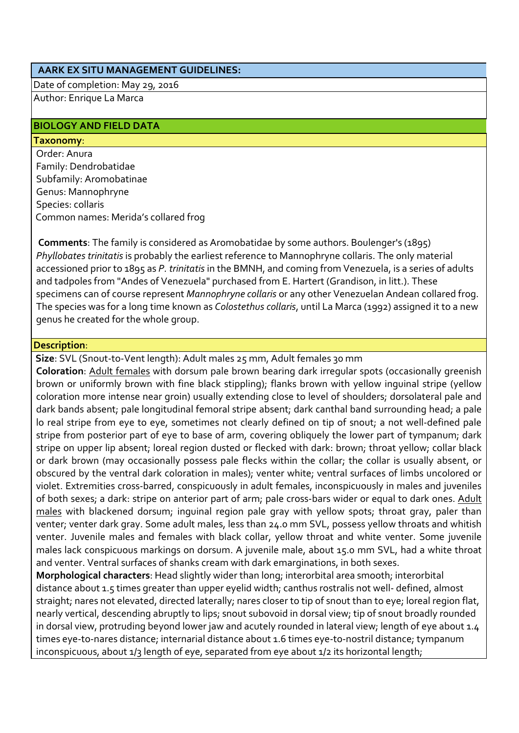#### **AARK EX SITU MANAGEMENT GUIDELINES:**

Date of completion: May 29, 2016 Author: Enrique La Marca

#### **BIOLOGY AND FIELD DATA**

#### **Taxonomy**:

Order: Anura Family: Dendrobatidae Subfamily: Aromobatinae Genus: Mannophryne Species: collaris Common names: Merida's collared frog

**Comments**: The family is considered as Aromobatidae by some authors. Boulenger's (1895) *Phyllobates trinitatis* is probably the earliest reference to Mannophryne collaris. The only material accessioned prior to 1895 as *P. trinitatis* in the BMNH, and coming from Venezuela, is a series of adults and tadpoles from "Andes of Venezuela" purchased from E. Hartert (Grandison, in litt.). These specimens can of course represent *Mannophryne collaris* or any other Venezuelan Andean collared frog. The species was for a long time known as *Colostethus collaris*, until La Marca (1992) assigned it to a new genus he created for the whole group.

#### **Description**:

**Size**: SVL (Snout-to-Vent length): Adult males 25 mm, Adult females 30 mm

**Coloration**: Adult females with dorsum pale brown bearing dark irregular spots (occasionally greenish brown or uniformly brown with fine black stippling); flanks brown with yellow inguinal stripe (yellow coloration more intense near groin) usually extending close to level of shoulders; dorsolateral pale and dark bands absent; pale longitudinal femoral stripe absent; dark canthal band surrounding head; a pale lo real stripe from eye to eye, sometimes not clearly defined on tip of snout; a not well-defined pale stripe from posterior part of eye to base of arm, covering obliquely the lower part of tympanum; dark stripe on upper lip absent; loreal region dusted or flecked with dark: brown; throat yellow; collar black or dark brown (may occasionally possess pale flecks within the collar; the collar is usually absent, or obscured by the ventral dark coloration in males); venter white; ventral surfaces of limbs uncolored or violet. Extremities cross-barred, conspicuously in adult females, inconspicuously in males and juveniles of both sexes; a dark: stripe on anterior part of arm; pale cross-bars wider or equal to dark ones. Adult males with blackened dorsum; inguinal region pale gray with yellow spots; throat gray, paler than venter; venter dark gray. Some adult males, less than 24.0 mm SVL, possess yellow throats and whitish venter. Juvenile males and females with black collar, yellow throat and white venter. Some juvenile males lack conspicuous markings on dorsum. A juvenile male, about 15.0 mm SVL, had a white throat and venter. Ventral surfaces of shanks cream with dark emarginations, in both sexes.

**Morphological characters**: Head slightly wider than long; interorbital area smooth; interorbital distance about 1.5 times greater than upper eyelid width; canthus rostralis not well- defined, almost straight; nares not elevated, directed laterally; nares closer to tip of snout than to eye; loreal region flat, nearly vertical, descending abruptly to lips; snout subovoid in dorsal view; tip of snout broadly rounded in dorsal view, protruding beyond lower jaw and acutely rounded in lateral view; length of eye about 1.4 times eye-to-nares distance; internarial distance about 1.6 times eye-to-nostril distance; tympanum inconspicuous, about 1/3 length of eye, separated from eye about 1/2 its horizontal length;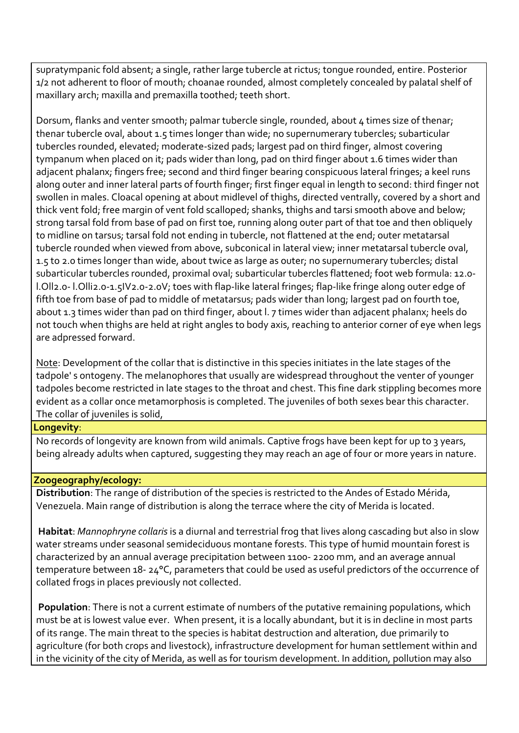supratympanic fold absent; a single, rather large tubercle at rictus; tongue rounded, entire. Posterior 1/2 not adherent to floor of mouth; choanae rounded, almost completely concealed by palatal shelf of maxillary arch; maxilla and premaxilla toothed; teeth short.

Dorsum, flanks and venter smooth; palmar tubercle single, rounded, about 4 times size of thenar; thenar tubercle oval, about 1.5 times longer than wide; no supernumerary tubercles; subarticular tubercles rounded, elevated; moderate-sized pads; largest pad on third finger, almost covering tympanum when placed on it; pads wider than long, pad on third finger about 1.6 times wider than adjacent phalanx; fingers free; second and third finger bearing conspicuous lateral fringes; a keel runs along outer and inner lateral parts of fourth finger; first finger equal in length to second: third finger not swollen in males. Cloacal opening at about midlevel of thighs, directed ventrally, covered by a short and thick vent fold; free margin of vent fold scalloped; shanks, thighs and tarsi smooth above and below; strong tarsal fold from base of pad on first toe, running along outer part of that toe and then obliquely to midline on tarsus; tarsal fold not ending in tubercle, not flattened at the end; outer metatarsal tubercle rounded when viewed from above, subconical in lateral view; inner metatarsal tubercle oval, 1.5 to 2.0 times longer than wide, about twice as large as outer; no supernumerary tubercles; distal subarticular tubercles rounded, proximal oval; subarticular tubercles flattened; foot web formula: 12.0 l.Oll2.0- l.Olli2.0-1.5IV2.0-2.0V; toes with flap-like lateral fringes; flap-like fringe along outer edge of fifth toe from base of pad to middle of metatarsus; pads wider than long; largest pad on fourth toe, about 1.3 times wider than pad on third finger, about l. 7 times wider than adjacent phalanx; heels do not touch when thighs are held at right angles to body axis, reaching to anterior corner of eye when legs are adpressed forward.

Note: Development of the collar that is distinctive in this species initiates in the late stages of the tadpole' s ontogeny. The melanophores that usually are widespread throughout the venter of younger tadpoles become restricted in late stages to the throat and chest. This fine dark stippling becomes more evident as a collar once metamorphosis is completed. The juveniles of both sexes bear this character. The collar of juveniles is solid,

#### **Longevity**:

No records of longevity are known from wild animals. Captive frogs have been kept for up to 3 years, being already adults when captured, suggesting they may reach an age of four or more years in nature.

## **Zoogeography/ecology:**

**Distribution**: The range of distribution of the species is restricted to the Andes of Estado Mérida, Venezuela. Main range of distribution is along the terrace where the city of Merida is located.

**Habitat**: *Mannophryne collaris* is a diurnal and terrestrial frog that lives along cascading but also in slow water streams under seasonal semideciduous montane forests. This type of humid mountain forest is characterized by an annual average precipitation between 1100- 2200 mm, and an average annual temperature between 18- 24°C, parameters that could be used as useful predictors of the occurrence of collated frogs in places previously not collected.

**Population**: There is not a current estimate of numbers of the putative remaining populations, which must be at is lowest value ever. When present, it is a locally abundant, but it is in decline in most parts of its range. The main threat to the species is habitat destruction and alteration, due primarily to agriculture (for both crops and livestock), infrastructure development for human settlement within and in the vicinity of the city of Merida, as well as for tourism development. In addition, pollution may also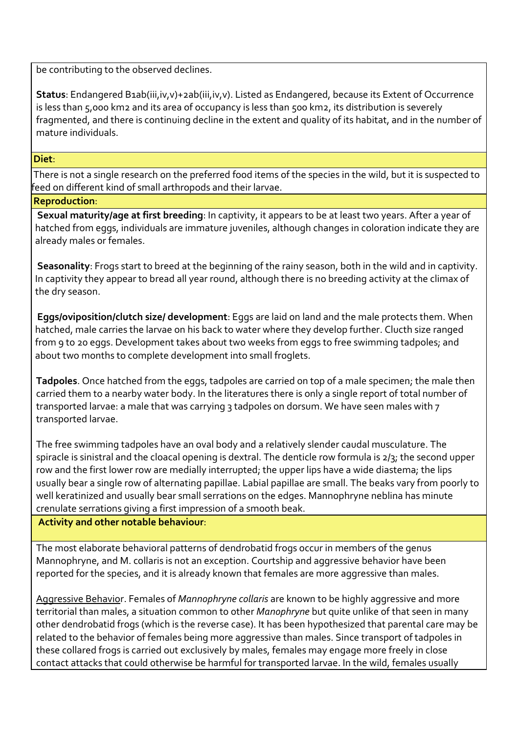be contributing to the observed declines.

**Status**: Endangered B1ab(iii,iv,v)+2ab(iii,iv,v). Listed as Endangered, because its Extent of Occurrence is less than 5,000 km2 and its area of occupancy is less than 500 km2, its distribution is severely fragmented, and there is continuing decline in the extent and quality of its habitat, and in the number of mature individuals.

#### **Diet**:

There is not a single research on the preferred food items of the species in the wild, but it is suspected to feed on different kind of small arthropods and their larvae.

## **Reproduction**:

**Sexual maturity/age at first breeding**: In captivity, it appears to be at least two years. After a year of hatched from eggs, individuals are immature juveniles, although changes in coloration indicate they are already males or females.

**Seasonality**: Frogs start to breed at the beginning of the rainy season, both in the wild and in captivity. In captivity they appear to bread all year round, although there is no breeding activity at the climax of the dry season.

**Eggs/oviposition/clutch size/ development**: Eggs are laid on land and the male protects them. When hatched, male carries the larvae on his back to water where they develop further. Clucth size ranged from 9 to 20 eggs. Development takes about two weeks from eggs to free swimming tadpoles; and about two months to complete development into small froglets.

**Tadpoles**. Once hatched from the eggs, tadpoles are carried on top of a male specimen; the male then carried them to a nearby water body. In the literatures there is only a single report of total number of transported larvae: a male that was carrying 3 tadpoles on dorsum. We have seen males with 7 transported larvae.

The free swimming tadpoles have an oval body and a relatively slender caudal musculature. The spiracle is sinistral and the cloacal opening is dextral. The denticle row formula is 2/3; the second upper row and the first lower row are medially interrupted; the upper lips have a wide diastema; the lips usually bear a single row of alternating papillae. Labial papillae are small. The beaks vary from poorly to well keratinized and usually bear small serrations on the edges. Mannophryne neblina has minute crenulate serrations giving a first impression of a smooth beak.

## **Activity and other notable behaviour**:

The most elaborate behavioral patterns of dendrobatid frogs occur in members of the genus Mannophryne, and M. collaris is not an exception. Courtship and aggressive behavior have been reported for the species, and it is already known that females are more aggressive than males.

Aggressive Behavior. Females of *Mannophryne collaris* are known to be highly aggressive and more territorial than males, a situation common to other *Manophryne* but quite unlike of that seen in many other dendrobatid frogs (which is the reverse case). It has been hypothesized that parental care may be related to the behavior of females being more aggressive than males. Since transport of tadpoles in these collared frogs is carried out exclusively by males, females may engage more freely in close contact attacks that could otherwise be harmful for transported larvae. In the wild, females usually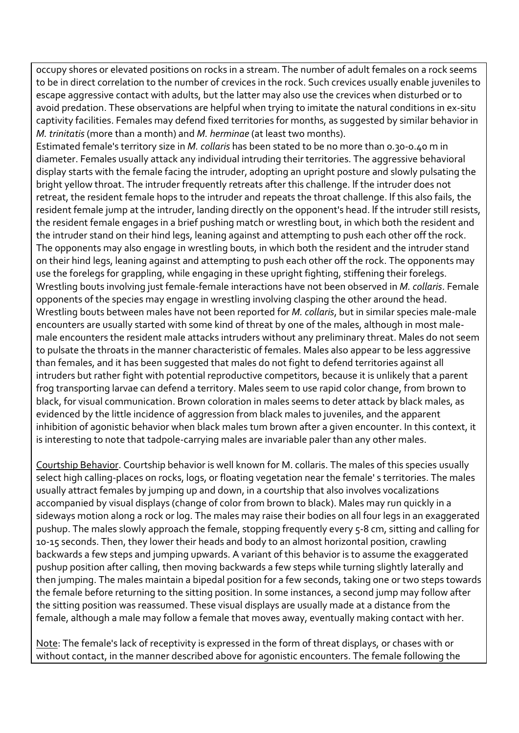occupy shores or elevated positions on rocks in a stream. The number of adult females on a rock seems to be in direct correlation to the number of crevices in the rock. Such crevices usually enable juveniles to escape aggressive contact with adults, but the latter may also use the crevices when disturbed or to avoid predation. These observations are helpful when trying to imitate the natural conditions in ex-situ captivity facilities. Females may defend fixed territories for months, as suggested by similar behavior in *M. trinitatis* (more than a month) and *M. herminae* (at least two months).

Estimated female's territory size in *M. collaris* has been stated to be no more than 0.30-0.40 m in diameter. Females usually attack any individual intruding their territories. The aggressive behavioral display starts with the female facing the intruder, adopting an upright posture and slowly pulsating the bright yellow throat. The intruder frequently retreats after this challenge. lf the intruder does not retreat, the resident female hops to the intruder and repeats the throat challenge. lf this also fails, the resident female jump at the intruder, landing directly on the opponent's head. lf the intruder still resists, the resident female engages in a brief pushing match or wrestling bout, in which both the resident and the intruder stand on their hind legs, leaning against and attempting to push each other off the rock. The opponents may also engage in wrestling bouts, in which both the resident and the intruder stand on their hind legs, leaning against and attempting to push each other off the rock. The opponents may use the forelegs for grappling, while engaging in these upright fighting, stiffening their forelegs. Wrestling bouts involving just female-female interactions have not been observed in *M. collaris*. Female opponents of the species may engage in wrestling involving clasping the other around the head. Wrestling bouts between males have not been reported for *M. collaris*, but in similar species male-male encounters are usually started with some kind of threat by one of the males, although in most malemale encounters the resident male attacks intruders without any preliminary threat. Males do not seem to pulsate the throats in the manner characteristic of females. Males also appear to be less aggressive than females, and it has been suggested that males do not fight to defend territories against all intruders but rather fight with potential reproductive competitors, because it is unlikely that a parent frog transporting larvae can defend a territory. Males seem to use rapid color change, from brown to black, for visual communication. Brown coloration in males seems to deter attack by black males, as evidenced by the little incidence of aggression from black males to juveniles, and the apparent inhibition of agonistic behavior when black males tum brown after a given encounter. In this context, it is interesting to note that tadpole-carrying males are invariable paler than any other males.

Courtship Behavior. Courtship behavior is well known for M. collaris. The males of this species usually select high calling-places on rocks, logs, or floating vegetation near the female' s territories. The males usually attract females by jumping up and down, in a courtship that also involves vocalizations accompanied by visual displays (change of color from brown to black). Males may run quickly in a sideways motion along a rock or log. The males may raise their bodies on all four legs in an exaggerated pushup. The males slowly approach the female, stopping frequently every 5-8 cm, sitting and calling for 10-15 seconds. Then, they lower their heads and body to an almost horizontal position, crawling backwards a few steps and jumping upwards. A variant of this behavior is to assume the exaggerated pushup position after calling, then moving backwards a few steps while turning slightly laterally and then jumping. The males maintain a bipedal position for a few seconds, taking one or two steps towards the female before returning to the sitting position. In some instances, a second jump may follow after the sitting position was reassumed. These visual displays are usually made at a distance from the female, although a male may follow a female that moves away, eventually making contact with her.

Note: The female's lack of receptivity is expressed in the form of threat displays, or chases with or without contact, in the manner described above for agonistic encounters. The female following the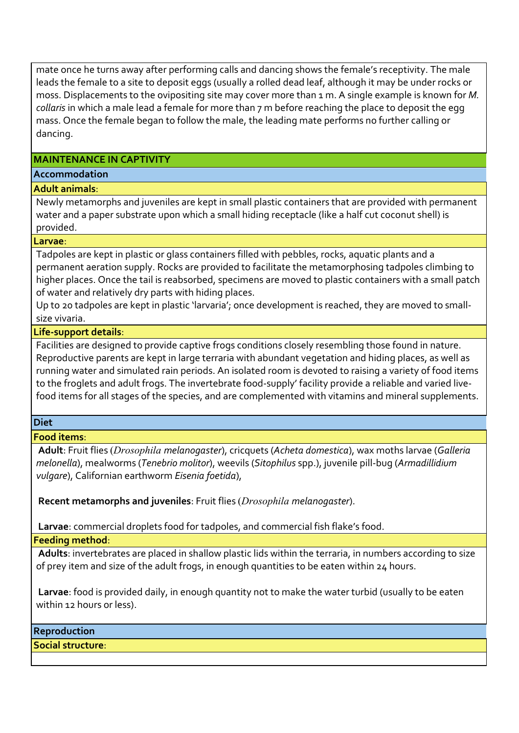mate once he turns away after performing calls and dancing shows the female's receptivity. The male leads the female to a site to deposit eggs (usually a rolled dead leaf, although it may be under rocks or moss. Displacements to the ovipositing site may cover more than 1 m. A single example is known for *M. collaris* in which a male lead a female for more than 7 m before reaching the place to deposit the egg mass. Once the female began to follow the male, the leading mate performs no further calling or dancing.

## **MAINTENANCE IN CAPTIVITY**

## **Accommodation**

# **Adult animals**:

Newly metamorphs and juveniles are kept in small plastic containers that are provided with permanent water and a paper substrate upon which a small hiding receptacle (like a half cut coconut shell) is provided.

## **Larvae**:

Tadpoles are kept in plastic or glass containers filled with pebbles, rocks, aquatic plants and a permanent aeration supply. Rocks are provided to facilitate the metamorphosing tadpoles climbing to higher places. Once the tail is reabsorbed, specimens are moved to plastic containers with a small patch of water and relatively dry parts with hiding places.

Up to 20 tadpoles are kept in plastic 'larvaria'; once development is reached, they are moved to smallsize vivaria.

# **Life-support details**:

Facilities are designed to provide captive frogs conditions closely resembling those found in nature. Reproductive parents are kept in large terraria with abundant vegetation and hiding places, as well as running water and simulated rain periods. An isolated room is devoted to raising a variety of food items to the froglets and adult frogs. The invertebrate food-supply' facility provide a reliable and varied livefood items for all stages of the species, and are complemented with vitamins and mineral supplements.

## **Diet**

# **Food items**:

**Adult**: Fruit flies (*Drosophila melanogaster*), cricquets (*Acheta domestica*), wax moths larvae (*Galleria melonella*), mealworms (*Tenebrio molitor*), weevils (*Sitophilus* spp.), juvenile pill-bug (*Armadillidium vulgare*), Californian earthworm *Eisenia foetida*),

**Recent metamorphs and juveniles**: Fruit flies (*Drosophila melanogaster*).

**Larvae**: commercial droplets food for tadpoles, and commercial fish flake's food.

# **Feeding method**:

**Adults**: invertebrates are placed in shallow plastic lids within the terraria, in numbers according to size of prey item and size of the adult frogs, in enough quantities to be eaten within 24 hours.

**Larvae**: food is provided daily, in enough quantity not to make the water turbid (usually to be eaten within 12 hours or less).

## **Reproduction**

**Social structure**: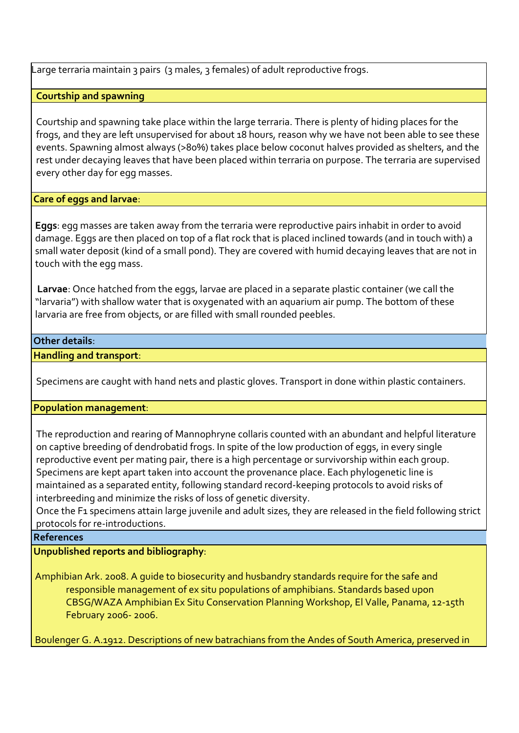Large terraria maintain 3 pairs (3 males, 3 females) of adult reproductive frogs.

# **Courtship and spawning**

Courtship and spawning take place within the large terraria. There is plenty of hiding places for the frogs, and they are left unsupervised for about 18 hours, reason why we have not been able to see these events. Spawning almost always (>80%) takes place below coconut halves provided as shelters, and the rest under decaying leaves that have been placed within terraria on purpose. The terraria are supervised every other day for egg masses.

## **Care of eggs and larvae**:

**Eggs**: egg masses are taken away from the terraria were reproductive pairs inhabit in order to avoid damage. Eggs are then placed on top of a flat rock that is placed inclined towards (and in touch with) a small water deposit (kind of a small pond). They are covered with humid decaying leaves that are not in touch with the egg mass.

**Larvae**: Once hatched from the eggs, larvae are placed in a separate plastic container (we call the "larvaria") with shallow water that is oxygenated with an aquarium air pump. The bottom of these larvaria are free from objects, or are filled with small rounded peebles.

## **Other details**:

## **Handling and transport**:

Specimens are caught with hand nets and plastic gloves. Transport in done within plastic containers.

## **Population management**:

The reproduction and rearing of Mannophryne collaris counted with an abundant and helpful literature on captive breeding of dendrobatid frogs. In spite of the low production of eggs, in every single reproductive event per mating pair, there is a high percentage or survivorship within each group. Specimens are kept apart taken into account the provenance place. Each phylogenetic line is maintained as a separated entity, following standard record-keeping protocols to avoid risks of interbreeding and minimize the risks of loss of genetic diversity.

Once the F1 specimens attain large juvenile and adult sizes, they are released in the field following strict protocols for re-introductions.

## **References**

**Unpublished reports and bibliography**:

Amphibian Ark. 2008. A guide to biosecurity and husbandry standards require for the safe and responsible management of ex situ populations of amphibians. Standards based upon CBSG/WAZA Amphibian Ex Situ Conservation Planning Workshop, El Valle, Panama, 12-15th February 2006- 2006.

Boulenger G. A.1912. Descriptions of new batrachians from the Andes of South America, preserved in